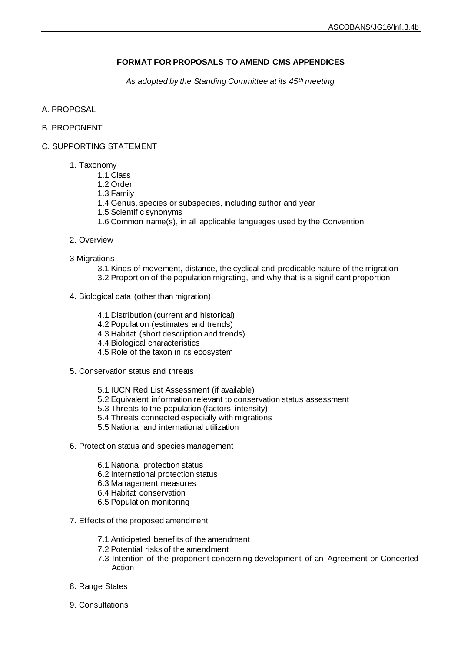# **FORMAT FOR PROPOSALS TO AMEND CMS APPENDICES**

*As adopted by the Standing Committee at its 45th meeting*

- A. PROPOSAL
- B. PROPONENT
- C. SUPPORTING STATEMENT
	- 1. Taxonomy
		- 1.1 Class
		- 1.2 Order
		- 1.3 Family
		- 1.4 Genus, species or subspecies, including author and year
		- 1.5 Scientific synonyms
		- 1.6 Common name(s), in all applicable languages used by the Convention
	- 2. Overview
	- 3 Migrations
		- 3.1 Kinds of movement, distance, the cyclical and predicable nature of the migration 3.2 Proportion of the population migrating, and why that is a significant proportion
	- 4. Biological data (other than migration)
		- 4.1 Distribution (current and historical)
		- 4.2 Population (estimates and trends)
		- 4.3 Habitat (short description and trends)
		- 4.4 Biological characteristics
		- 4.5 Role of the taxon in its ecosystem
	- 5. Conservation status and threats
		- 5.1 IUCN Red List Assessment (if available)
		- 5.2 Equivalent information relevant to conservation status assessment
		- 5.3 Threats to the population (factors, intensity)
		- 5.4 Threats connected especially with migrations
		- 5.5 National and international utilization
	- 6. Protection status and species management
		- 6.1 National protection status
		- 6.2 International protection status
		- 6.3 Management measures
		- 6.4 Habitat conservation
		- 6.5 Population monitoring
	- 7. Effects of the proposed amendment
		- 7.1 Anticipated benefits of the amendment
		- 7.2 Potential risks of the amendment
		- 7.3 Intention of the proponent concerning development of an Agreement or Concerted Action
	- 8. Range States
	- 9. Consultations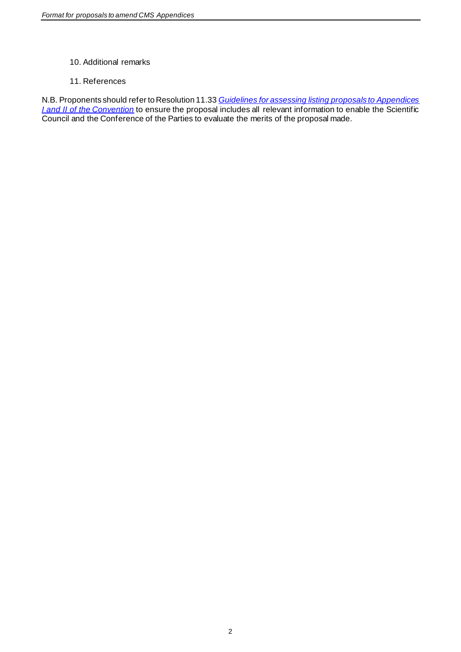# 10. Additional remarks

# 11. References

N.B. Proponents should refer to Resolution 11.33 *[Guidelines for assessing listing proposals to Appendices](http://www.cms.int/en/document/guidelines-assessing-listing-proposals-appendices-i-and-ii-convention)  [I and II of the Convention](http://www.cms.int/en/document/guidelines-assessing-listing-proposals-appendices-i-and-ii-convention)* to ensure the proposal includes all relevant information to enable the Scientific Council and the Conference of the Parties to evaluate the merits of the proposal made.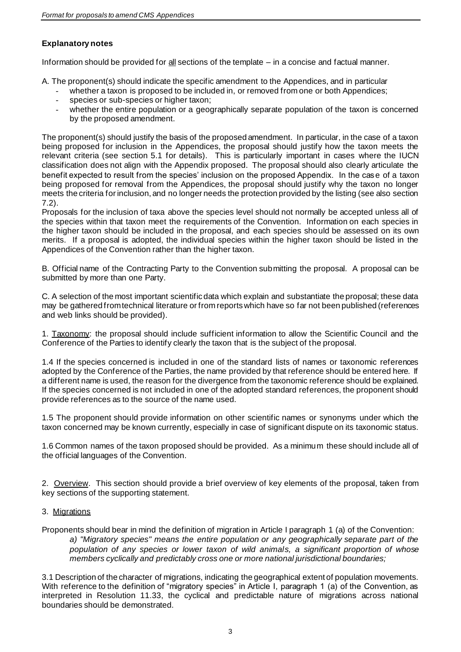# **Explanatory notes**

Information should be provided for  $\underline{\text{all}}$  sections of the template – in a concise and factual manner.

A. The proponent(s) should indicate the specific amendment to the Appendices, and in particular

- whether a taxon is proposed to be included in, or removed from one or both Appendices;
- species or sub-species or higher taxon;
- whether the entire population or a geographically separate population of the taxon is concerned by the proposed amendment.

The proponent(s) should justify the basis of the proposed amendment. In particular, in the case of a taxon being proposed for inclusion in the Appendices, the proposal should justify how the taxon meets the relevant criteria (see section 5.1 for details). This is particularly important in cases where the IUCN classification does not align with the Appendix proposed. The proposal should also clearly articulate the benefit expected to result from the species' inclusion on the proposed Appendix. In the case of a taxon being proposed for removal from the Appendices, the proposal should justify why the taxon no longer meets the criteria for inclusion, and no longer needs the protection provided by the listing (see also section 7.2).

Proposals for the inclusion of taxa above the species level should not normally be accepted unless all of the species within that taxon meet the requirements of the Convention. Information on each species in the higher taxon should be included in the proposal, and each species should be assessed on its own merits. If a proposal is adopted, the individual species within the higher taxon should be listed in the Appendices of the Convention rather than the higher taxon.

B. Official name of the Contracting Party to the Convention submitting the proposal. A proposal can be submitted by more than one Party.

C. A selection of the most important scientific data which explain and substantiate the proposal; these data may be gathered from technical literature or from reports which have so far not been published (references and web links should be provided).

1. Taxonomy: the proposal should include sufficient information to allow the Scientific Council and the Conference of the Parties to identify clearly the taxon that is the subject of the proposal.

1.4 If the species concerned is included in one of the standard lists of names or taxonomic references adopted by the Conference of the Parties, the name provided by that reference should be entered here. If a different name is used, the reason for the divergence from the taxonomic reference should be explained. If the species concerned is not included in one of the adopted standard references, the proponent should provide references as to the source of the name used.

1.5 The proponent should provide information on other scientific names or synonyms under which the taxon concerned may be known currently, especially in case of significant dispute on its taxonomic status.

1.6 Common names of the taxon proposed should be provided. As a minimum these should include all of the official languages of the Convention.

2. Overview. This section should provide a brief overview of key elements of the proposal, taken from key sections of the supporting statement.

# 3. Migrations

Proponents should bear in mind the definition of migration in Article I paragraph 1 (a) of the Convention: *a) "Migratory species" means the entire population or any geographically separate part of the population of any species or lower taxon of wild animals, a significant proportion of whose members cyclically and predictably cross one or more national jurisdictional boundaries;*

3.1 Description of the character of migrations, indicating the geographical extent of population movements. With reference to the definition of "migratory species" in Article I, paragraph 1 (a) of the Convention, as interpreted in Resolution 11.33, the cyclical and predictable nature of migrations across national boundaries should be demonstrated.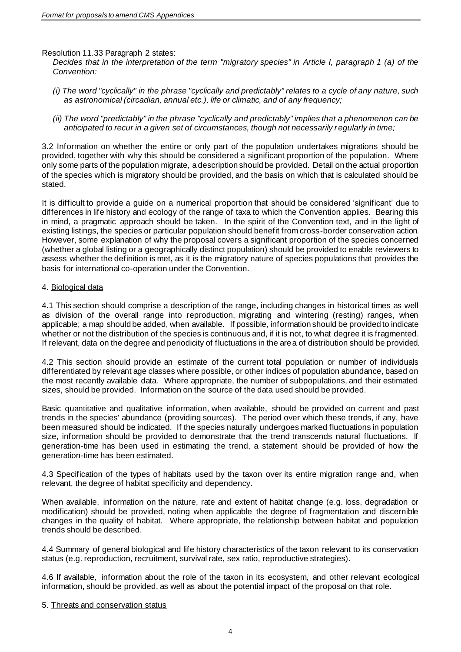Resolution 11.33 Paragraph 2 states:

*Decides that in the interpretation of the term "migratory species" in Article I, paragraph 1 (a) of the Convention:* 

- *(i) The word "cyclically" in the phrase "cyclically and predictably" relates to a cycle of any nature, such as astronomical (circadian, annual etc.), life or climatic, and of any frequency;*
- *(ii) The word "predictably" in the phrase "cyclically and predictably" implies that a phenomenon can be anticipated to recur in a given set of circumstances, though not necessarily regularly in time;*

3.2 Information on whether the entire or only part of the population undertakes migrations should be provided, together with why this should be considered a significant proportion of the population. Where only some parts of the population migrate, a description should be provided. Detail on the actual proportion of the species which is migratory should be provided, and the basis on which that is calculated should be stated.

It is difficult to provide a guide on a numerical proportion that should be considered 'significant' due to differences in life history and ecology of the range of taxa to which the Convention applies. Bearing this in mind, a pragmatic approach should be taken. In the spirit of the Convention text, and in the light of existing listings, the species or particular population should benefit from cross-border conservation action. However, some explanation of why the proposal covers a significant proportion of the species concerned (whether a global listing or a geographically distinct population) should be provided to enable reviewers to assess whether the definition is met, as it is the migratory nature of species populations that provides the basis for international co-operation under the Convention.

#### 4. Biological data

4.1 This section should comprise a description of the range, including changes in historical times as well as division of the overall range into reproduction, migrating and wintering (resting) ranges, when applicable; a map should be added, when available. If possible, information should be provided to indicate whether or not the distribution of the species is continuous and, if it is not, to what degree it is fragmented. If relevant, data on the degree and periodicity of fluctuations in the area of distribution should be provided.

4.2 This section should provide an estimate of the current total population or number of individuals differentiated by relevant age classes where possible, or other indices of population abundance, based on the most recently available data. Where appropriate, the number of subpopulations, and their estimated sizes, should be provided. Information on the source of the data used should be provided.

Basic quantitative and qualitative information, when available, should be provided on current and past trends in the species' abundance (providing sources). The period over which these trends, if any, have been measured should be indicated. If the species naturally undergoes marked fluctuations in population size, information should be provided to demonstrate that the trend transcends natural fluctuations. If generation-time has been used in estimating the trend, a statement should be provided of how the generation-time has been estimated.

4.3 Specification of the types of habitats used by the taxon over its entire migration range and, when relevant, the degree of habitat specificity and dependency.

When available, information on the nature, rate and extent of habitat change (e.g. loss, degradation or modification) should be provided, noting when applicable the degree of fragmentation and discernible changes in the quality of habitat. Where appropriate, the relationship between habitat and population trends should be described.

4.4 Summary of general biological and life history characteristics of the taxon relevant to its conservation status (e.g. reproduction, recruitment, survival rate, sex ratio, reproductive strategies).

4.6 If available, information about the role of the taxon in its ecosystem, and other relevant ecological information, should be provided, as well as about the potential impact of the proposal on that role.

#### 5. Threats and conservation status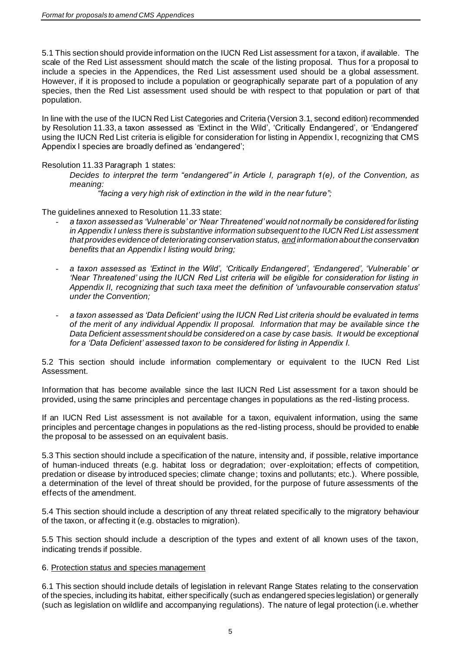5.1 This section should provide information on the IUCN Red List assessment for a taxon, if available. The scale of the Red List assessment should match the scale of the listing proposal. Thus for a proposal to include a species in the Appendices, the Red List assessment used should be a global assessment. However, if it is proposed to include a population or geographically separate part of a population of any species, then the Red List assessment used should be with respect to that population or part of that population.

In line with the use of the IUCN Red List Categories and Criteria (Version 3.1, second edition) recommended by Resolution 11.33, a taxon assessed as 'Extinct in the Wild', 'Critically Endangered', or 'Endangered' using the IUCN Red List criteria is eligible for consideration for listing in Appendix I, recognizing that CMS Appendix I species are broadly defined as 'endangered';

Resolution 11.33 Paragraph 1 states:

*Decides to interpret the term "endangered" in Article I, paragraph 1(e), of the Convention, as meaning:* 

*"facing a very high risk of extinction in the wild in the near future";* 

The guidelines annexed to Resolution 11.33 state:

- *a taxon assessed as 'Vulnerable' or 'Near Threatened' would not normally be considered for listing in Appendix I unless there is substantive information subsequent to the IUCN Red List assessment that provides evidence of deteriorating conservation status, and information about the conservation benefits that an Appendix I listing would bring;*
- *a taxon assessed as 'Extinct in the Wild', 'Critically Endangered', 'Endangered', 'Vulnerable' or 'Near Threatened' using the IUCN Red List criteria will be eligible for consideration for listing in Appendix II, recognizing that such taxa meet the definition of 'unfavourable conservation status' under the Convention;*
- *a taxon assessed as 'Data Deficient' using the IUCN Red List criteria should be evaluated in terms of the merit of any individual Appendix II proposal. Information that may be available since t he Data Deficient assessment should be considered on a case by case basis. It would be exceptional for a 'Data Deficient' assessed taxon to be considered for listing in Appendix I.*

5.2 This section should include information complementary or equivalent to the IUCN Red List Assessment.

Information that has become available since the last IUCN Red List assessment for a taxon should be provided, using the same principles and percentage changes in populations as the red-listing process.

If an IUCN Red List assessment is not available for a taxon, equivalent information, using the same principles and percentage changes in populations as the red-listing process, should be provided to enable the proposal to be assessed on an equivalent basis.

5.3 This section should include a specification of the nature, intensity and, if possible, relative importance of human-induced threats (e.g. habitat loss or degradation; over-exploitation; effects of competition, predation or disease by introduced species; climate change; toxins and pollutants; etc.). Where possible, a determination of the level of threat should be provided, for the purpose of future assessments of the effects of the amendment.

5.4 This section should include a description of any threat related specifically to the migratory behaviour of the taxon, or affecting it (e.g. obstacles to migration).

5.5 This section should include a description of the types and extent of all known uses of the taxon, indicating trends if possible.

# 6. Protection status and species management

6.1 This section should include details of legislation in relevant Range States relating to the conservation of the species, including its habitat, either specifically (such as endangered species legislation) or generally (such as legislation on wildlife and accompanying regulations). The nature of legal protection (i.e. whether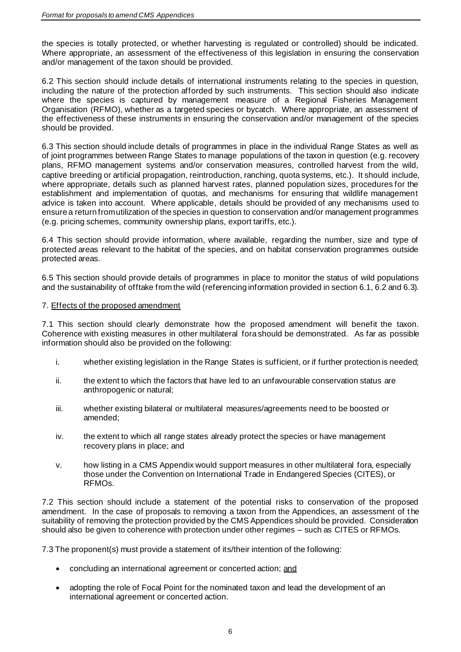the species is totally protected, or whether harvesting is regulated or controlled) should be indicated. Where appropriate, an assessment of the effectiveness of this legislation in ensuring the conservation and/or management of the taxon should be provided.

6.2 This section should include details of international instruments relating to the species in question, including the nature of the protection afforded by such instruments. This section should also indicate where the species is captured by management measure of a Regional Fisheries Management Organisation (RFMO), whether as a targeted species or bycatch. Where appropriate, an assessment of the effectiveness of these instruments in ensuring the conservation and/or management of the species should be provided.

6.3 This section should include details of programmes in place in the individual Range States as well as of joint programmes between Range States to manage populations of the taxon in question (e.g. recovery plans, RFMO management systems and/or conservation measures, controlled harvest from the wild, captive breeding or artificial propagation, reintroduction, ranching, quota systems, etc.). It should include, where appropriate, details such as planned harvest rates, planned population sizes, procedures for the establishment and implementation of quotas, and mechanisms for ensuring that wildlife management advice is taken into account. Where applicable, details should be provided of any mechanisms used to ensure a return from utilization of the species in question to conservation and/or management programmes (e.g. pricing schemes, community ownership plans, export tariffs, etc.).

6.4 This section should provide information, where available, regarding the number, size and type of protected areas relevant to the habitat of the species, and on habitat conservation programmes outside protected areas.

6.5 This section should provide details of programmes in place to monitor the status of wild populations and the sustainability of offtake from the wild (referencing information provided in section 6.1, 6.2 and 6.3).

# 7. Effects of the proposed amendment

7.1 This section should clearly demonstrate how the proposed amendment will benefit the taxon. Coherence with existing measures in other multilateral fora should be demonstrated. As far as possible information should also be provided on the following:

- i. whether existing legislation in the Range States is sufficient, or if further protection is needed;
- ii. the extent to which the factors that have led to an unfavourable conservation status are anthropogenic or natural;
- iii. whether existing bilateral or multilateral measures/agreements need to be boosted or amended;
- iv. the extent to which all range states already protect the species or have management recovery plans in place; and
- v. how listing in a CMS Appendix would support measures in other multilateral fora, especially those under the Convention on International Trade in Endangered Species (CITES), or RFMOs.

7.2 This section should include a statement of the potential risks to conservation of the proposed amendment. In the case of proposals to removing a taxon from the Appendices, an assessment of the suitability of removing the protection provided by the CMS Appendices should be provided. Consideration should also be given to coherence with protection under other regimes – such as CITES or RFMOs.

7.3 The proponent(s) must provide a statement of its/their intention of the following:

- concluding an international agreement or concerted action; and
- adopting the role of Focal Point for the nominated taxon and lead the development of an international agreement or concerted action.